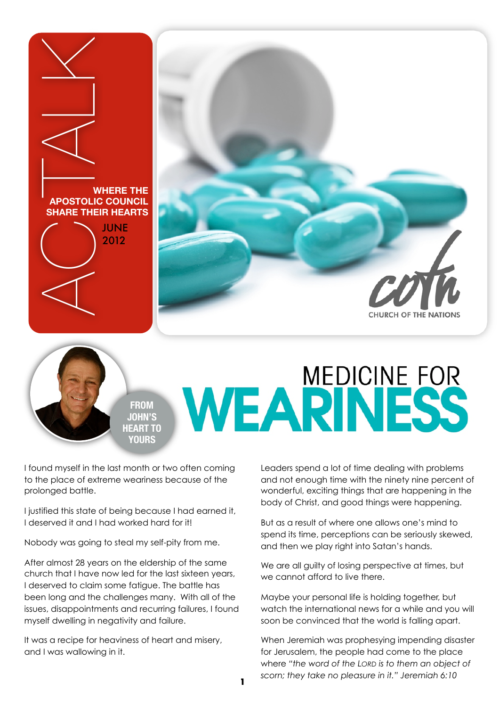



## WEARINESS

I found myself in the last month or two often coming to the place of extreme weariness because of the prolonged battle.

**FROM JOHN'S HEART TO YOURS**

I justified this state of being because I had earned it, I deserved it and I had worked hard for it!

Nobody was going to steal my self-pity from me.

After almost 28 years on the eldership of the same church that I have now led for the last sixteen years, I deserved to claim some fatigue. The battle has been long and the challenges many. With all of the issues, disappointments and recurring failures, I found myself dwelling in negativity and failure.

It was a recipe for heaviness of heart and misery, and I was wallowing in it.

Leaders spend a lot of time dealing with problems and not enough time with the ninety nine percent of wonderful, exciting things that are happening in the body of Christ, and good things were happening.

But as a result of where one allows one's mind to spend its time, perceptions can be seriously skewed, and then we play right into Satan's hands.

We are all guilty of losing perspective at times, but we cannot afford to live there.

Maybe your personal life is holding together, but watch the international news for a while and you will soon be convinced that the world is falling apart.

When Jeremiah was prophesying impending disaster for Jerusalem, the people had come to the place where *"the word of the LORD is to them an object of scorn; they take no pleasure in it." Jeremiah 6:10*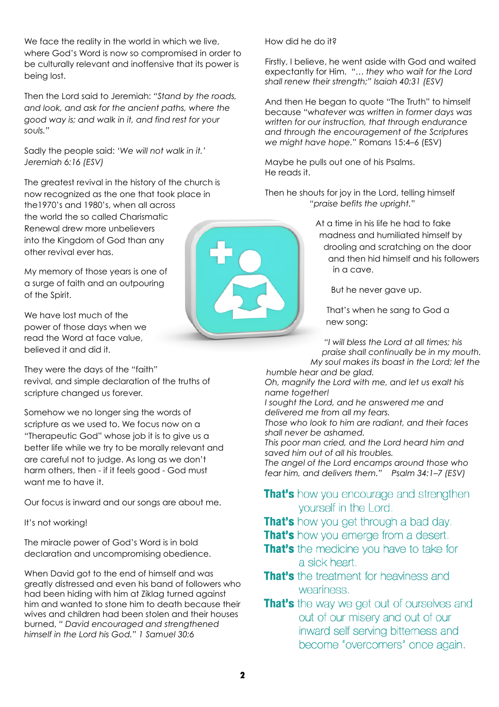We face the reality in the world in which we live, where God's Word is now so compromised in order to be culturally relevant and inoffensive that its power is being lost.

Then the Lord said to Jeremiah: *"Stand by the roads, and look, and ask for the ancient paths, where the good way is; and walk in it, and find rest for your souls."*

Sadly the people said: *'We will not walk in it.' Jeremiah 6:16 (ESV)*

The greatest revival in the history of the church is now recognized as the one that took place in the1970's and 1980's, when all across the world the so called Charismatic Renewal drew more unbelievers into the Kingdom of God than any other revival ever has.

My memory of those years is one of a surge of faith and an outpouring of the Spirit.

We have lost much of the power of those days when we read the Word at face value, believed it and did it.

They were the days of the "faith" revival, and simple declaration of the truths of scripture changed us forever.

Somehow we no longer sing the words of scripture as we used to. We focus now on a "Therapeutic God" whose job it is to give us a better life while we try to be morally relevant and are careful not to judge. As long as we don't harm others, then - if it feels good - God must want me to have it.

Our focus is inward and our songs are about me.

It's not working!

The miracle power of God's Word is in bold declaration and uncompromising obedience.

When David got to the end of himself and was greatly distressed and even his band of followers who had been hiding with him at Ziklag turned against him and wanted to stone him to death because their wives and children had been stolen and their houses burned, *" David encouraged and strengthened himself in the Lord his God." 1 Samuel 30:6*

How did he do it?

Firstly, I believe, he went aside with God and waited expectantly for Him. *"… they who wait for the Lord shall renew their strength;" Isaiah 40:31 (ESV)*

And then He began to quote "The Truth" to himself because *"whatever was written in former days was written for our instruction, that through endurance and through the encouragement of the Scriptures we might have hope."* Romans 15:4–6 (ESV)

Maybe he pulls out one of his Psalms. He reads it.

Then he shouts for joy in the Lord, telling himself *"praise befits the upright.*"

> At a time in his life he had to fake madness and humiliated himself by drooling and scratching on the door and then hid himself and his followers in a cave.

But he never gave up.

That's when he sang to God a new song:

*"I will bless the Lord at all times; his praise shall continually be in my mouth. My soul makes its boast in the Lord; let the* 

*humble hear and be glad. Oh, magnify the Lord with me, and let us exalt his name together!* 

*I sought the Lord, and he answered me and delivered me from all my fears.* 

*Those who look to him are radiant, and their faces shall never be ashamed.* 

*This poor man cried, and the Lord heard him and saved him out of all his troubles.*

*The angel of the Lord encamps around those who fear him, and delivers them." Psalm 34:1–7 (ESV)* 

## **That's** how you encourage and strengthen yourself in the Lord.

**That's** how you get through a bad day.

**That's** how you emerge from a desert.

- **That's** the medicine you have to take for a sick heart.
- **That's** the treatment for heaviness and weariness.
- **That's** the way we get out of ourselves and out of our misery and out of our inward self serving bitterness and become "overcomers" once again.